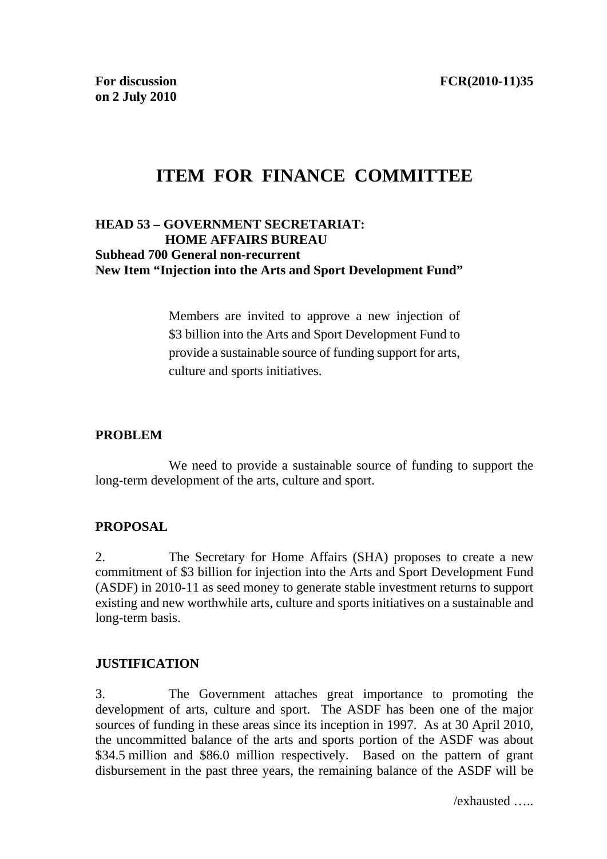# **ITEM FOR FINANCE COMMITTEE**

## **HEAD 53 – GOVERNMENT SECRETARIAT: HOME AFFAIRS BUREAU Subhead 700 General non-recurrent New Item "Injection into the Arts and Sport Development Fund"**

Members are invited to approve a new injection of \$3 billion into the Arts and Sport Development Fund to provide a sustainable source of funding support for arts, culture and sports initiatives.

## **PROBLEM**

 We need to provide a sustainable source of funding to support the long-term development of the arts, culture and sport.

#### **PROPOSAL**

2. The Secretary for Home Affairs (SHA) proposes to create a new commitment of \$3 billion for injection into the Arts and Sport Development Fund (ASDF) in 2010-11 as seed money to generate stable investment returns to support existing and new worthwhile arts, culture and sports initiatives on a sustainable and long-term basis.

#### **JUSTIFICATION**

3. The Government attaches great importance to promoting the development of arts, culture and sport. The ASDF has been one of the major sources of funding in these areas since its inception in 1997. As at 30 April 2010, the uncommitted balance of the arts and sports portion of the ASDF was about \$34.5 million and \$86.0 million respectively. Based on the pattern of grant disbursement in the past three years, the remaining balance of the ASDF will be

/exhausted …..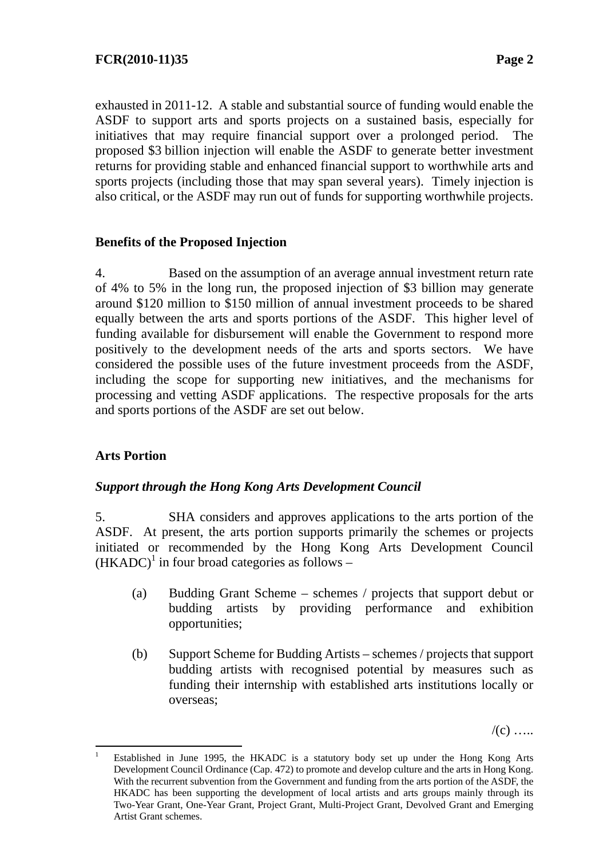exhausted in 2011-12. A stable and substantial source of funding would enable the ASDF to support arts and sports projects on a sustained basis, especially for initiatives that may require financial support over a prolonged period. The proposed \$3 billion injection will enable the ASDF to generate better investment returns for providing stable and enhanced financial support to worthwhile arts and sports projects (including those that may span several years). Timely injection is also critical, or the ASDF may run out of funds for supporting worthwhile projects.

## **Benefits of the Proposed Injection**

4. Based on the assumption of an average annual investment return rate of 4% to 5% in the long run, the proposed injection of \$3 billion may generate around \$120 million to \$150 million of annual investment proceeds to be shared equally between the arts and sports portions of the ASDF. This higher level of funding available for disbursement will enable the Government to respond more positively to the development needs of the arts and sports sectors. We have considered the possible uses of the future investment proceeds from the ASDF, including the scope for supporting new initiatives, and the mechanisms for processing and vetting ASDF applications. The respective proposals for the arts and sports portions of the ASDF are set out below.

# **Arts Portion**

#### *Support through the Hong Kong Arts Development Council*

5. SHA considers and approves applications to the arts portion of the ASDF. At present, the arts portion supports primarily the schemes or projects initiated or recommended by the Hong Kong Arts Development Council  $(HKADC)^1$  in four broad categories as follows –

- (a) Budding Grant Scheme schemes / projects that support debut or budding artists by providing performance and exhibition opportunities;
- (b) Support Scheme for Budding Artists schemes / projects that support budding artists with recognised potential by measures such as funding their internship with established arts institutions locally or overseas;

 $/(c)$  …

 $\frac{1}{1}$  Established in June 1995, the HKADC is a statutory body set up under the Hong Kong Arts Development Council Ordinance (Cap. 472) to promote and develop culture and the arts in Hong Kong. With the recurrent subvention from the Government and funding from the arts portion of the ASDF, the HKADC has been supporting the development of local artists and arts groups mainly through its Two-Year Grant, One-Year Grant, Project Grant, Multi-Project Grant, Devolved Grant and Emerging Artist Grant schemes.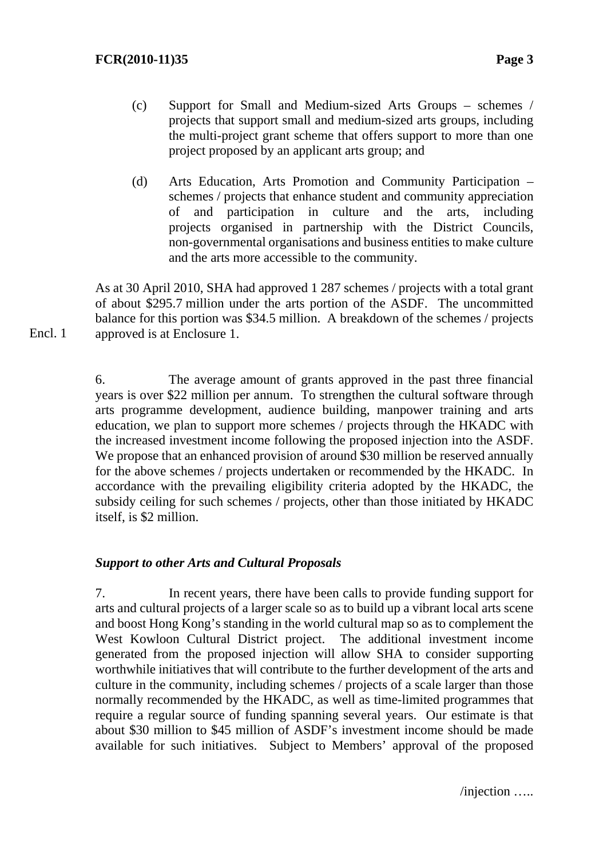Encl. 1

- (c) Support for Small and Medium-sized Arts Groups schemes / projects that support small and medium-sized arts groups, including the multi-project grant scheme that offers support to more than one project proposed by an applicant arts group; and
- (d) Arts Education, Arts Promotion and Community Participation schemes / projects that enhance student and community appreciation of and participation in culture and the arts, including projects organised in partnership with the District Councils, non-governmental organisations and business entities to make culture and the arts more accessible to the community.

As at 30 April 2010, SHA had approved 1 287 schemes / projects with a total grant of about \$295.7 million under the arts portion of the ASDF. The uncommitted balance for this portion was \$34.5 million. A breakdown of the schemes / projects approved is at Enclosure 1.

6. The average amount of grants approved in the past three financial years is over \$22 million per annum. To strengthen the cultural software through arts programme development, audience building, manpower training and arts education, we plan to support more schemes / projects through the HKADC with the increased investment income following the proposed injection into the ASDF. We propose that an enhanced provision of around \$30 million be reserved annually for the above schemes / projects undertaken or recommended by the HKADC. In accordance with the prevailing eligibility criteria adopted by the HKADC, the subsidy ceiling for such schemes / projects, other than those initiated by HKADC itself, is \$2 million.

#### *Support to other Arts and Cultural Proposals*

7. In recent years, there have been calls to provide funding support for arts and cultural projects of a larger scale so as to build up a vibrant local arts scene and boost Hong Kong's standing in the world cultural map so as to complement the West Kowloon Cultural District project. The additional investment income generated from the proposed injection will allow SHA to consider supporting worthwhile initiatives that will contribute to the further development of the arts and culture in the community, including schemes / projects of a scale larger than those normally recommended by the HKADC, as well as time-limited programmes that require a regular source of funding spanning several years. Our estimate is that about \$30 million to \$45 million of ASDF's investment income should be made available for such initiatives. Subject to Members' approval of the proposed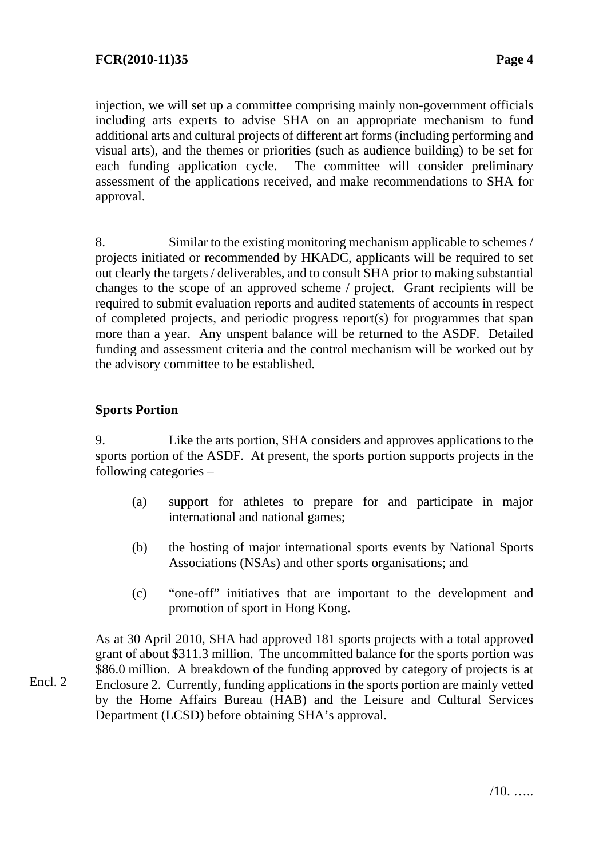injection, we will set up a committee comprising mainly non-government officials including arts experts to advise SHA on an appropriate mechanism to fund additional arts and cultural projects of different art forms (including performing and visual arts), and the themes or priorities (such as audience building) to be set for each funding application cycle. The committee will consider preliminary assessment of the applications received, and make recommendations to SHA for approval.

8. Similar to the existing monitoring mechanism applicable to schemes / projects initiated or recommended by HKADC, applicants will be required to set out clearly the targets / deliverables, and to consult SHA prior to making substantial changes to the scope of an approved scheme / project. Grant recipients will be required to submit evaluation reports and audited statements of accounts in respect of completed projects, and periodic progress report(s) for programmes that span more than a year. Any unspent balance will be returned to the ASDF. Detailed funding and assessment criteria and the control mechanism will be worked out by the advisory committee to be established.

# **Sports Portion**

9. Like the arts portion, SHA considers and approves applications to the sports portion of the ASDF. At present, the sports portion supports projects in the following categories –

- (a) support for athletes to prepare for and participate in major international and national games;
- (b) the hosting of major international sports events by National Sports Associations (NSAs) and other sports organisations; and
- (c) "one-off" initiatives that are important to the development and promotion of sport in Hong Kong.

As at 30 April 2010, SHA had approved 181 sports projects with a total approved grant of about \$311.3 million. The uncommitted balance for the sports portion was \$86.0 million. A breakdown of the funding approved by category of projects is at Enclosure 2. Currently, funding applications in the sports portion are mainly vetted by the Home Affairs Bureau (HAB) and the Leisure and Cultural Services Department (LCSD) before obtaining SHA's approval.

Encl. 2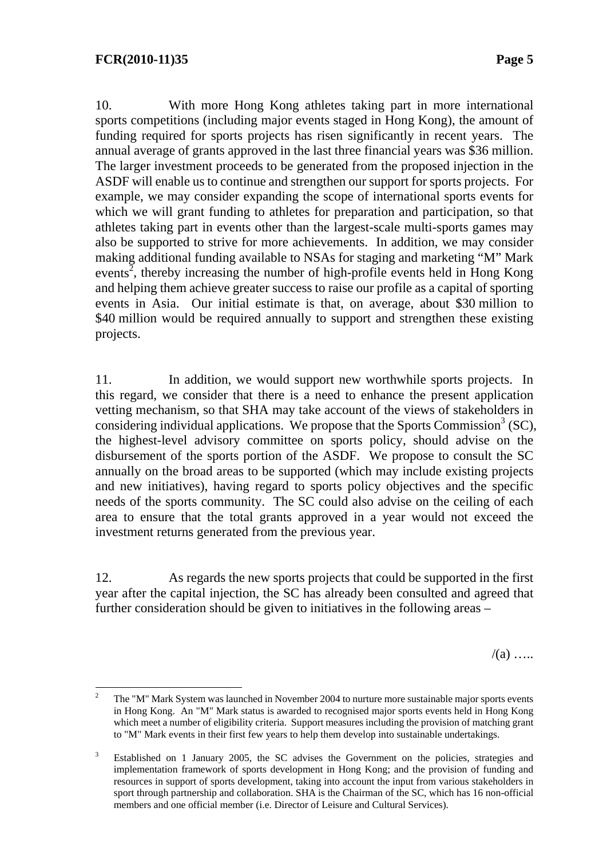10. With more Hong Kong athletes taking part in more international sports competitions (including major events staged in Hong Kong), the amount of funding required for sports projects has risen significantly in recent years. The annual average of grants approved in the last three financial years was \$36 million. The larger investment proceeds to be generated from the proposed injection in the ASDF will enable us to continue and strengthen our support for sports projects. For example, we may consider expanding the scope of international sports events for which we will grant funding to athletes for preparation and participation, so that athletes taking part in events other than the largest-scale multi-sports games may also be supported to strive for more achievements. In addition, we may consider making additional funding available to NSAs for staging and marketing "M" Mark events<sup>2</sup>, thereby increasing the number of high-profile events held in Hong Kong and helping them achieve greater success to raise our profile as a capital of sporting events in Asia. Our initial estimate is that, on average, about \$30 million to \$40 million would be required annually to support and strengthen these existing projects.

11. In addition, we would support new worthwhile sports projects. In this regard, we consider that there is a need to enhance the present application vetting mechanism, so that SHA may take account of the views of stakeholders in considering individual applications. We propose that the Sports Commission<sup>3</sup> (SC), the highest-level advisory committee on sports policy, should advise on the disbursement of the sports portion of the ASDF. We propose to consult the SC annually on the broad areas to be supported (which may include existing projects and new initiatives), having regard to sports policy objectives and the specific needs of the sports community. The SC could also advise on the ceiling of each area to ensure that the total grants approved in a year would not exceed the investment returns generated from the previous year.

12. As regards the new sports projects that could be supported in the first year after the capital injection, the SC has already been consulted and agreed that further consideration should be given to initiatives in the following areas –

 $/(a)$  …

 $\frac{1}{2}$  The "M" Mark System was launched in November 2004 to nurture more sustainable major sports events in Hong Kong. An "M" Mark status is awarded to recognised major sports events held in Hong Kong which meet a number of eligibility criteria. Support measures including the provision of matching grant to "M" Mark events in their first few years to help them develop into sustainable undertakings.

<sup>3</sup> Established on 1 January 2005, the SC advises the Government on the policies, strategies and implementation framework of sports development in Hong Kong; and the provision of funding and resources in support of sports development, taking into account the input from various stakeholders in sport through partnership and collaboration. SHA is the Chairman of the SC, which has 16 non-official members and one official member (i.e. Director of Leisure and Cultural Services).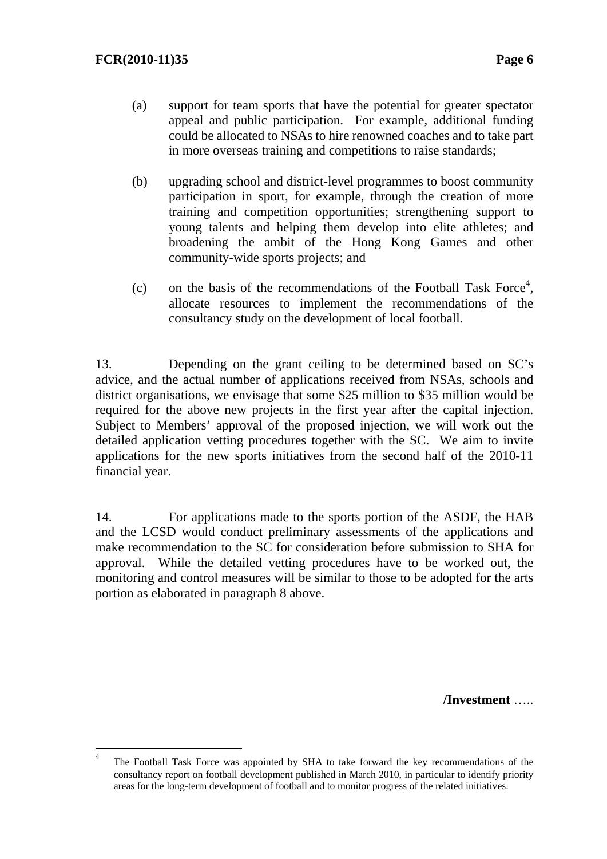- (a) support for team sports that have the potential for greater spectator appeal and public participation. For example, additional funding could be allocated to NSAs to hire renowned coaches and to take part in more overseas training and competitions to raise standards;
- (b) upgrading school and district-level programmes to boost community participation in sport, for example, through the creation of more training and competition opportunities; strengthening support to young talents and helping them develop into elite athletes; and broadening the ambit of the Hong Kong Games and other community-wide sports projects; and
- (c) on the basis of the recommendations of the Football Task Force<sup>4</sup>, allocate resources to implement the recommendations of the consultancy study on the development of local football.

13. Depending on the grant ceiling to be determined based on SC's advice, and the actual number of applications received from NSAs, schools and district organisations, we envisage that some \$25 million to \$35 million would be required for the above new projects in the first year after the capital injection. Subject to Members' approval of the proposed injection, we will work out the detailed application vetting procedures together with the SC. We aim to invite applications for the new sports initiatives from the second half of the 2010-11 financial year.

14. For applications made to the sports portion of the ASDF, the HAB and the LCSD would conduct preliminary assessments of the applications and make recommendation to the SC for consideration before submission to SHA for approval. While the detailed vetting procedures have to be worked out, the monitoring and control measures will be similar to those to be adopted for the arts portion as elaborated in paragraph 8 above.

**/Investment** …..

 $\frac{1}{4}$  The Football Task Force was appointed by SHA to take forward the key recommendations of the consultancy report on football development published in March 2010, in particular to identify priority areas for the long-term development of football and to monitor progress of the related initiatives.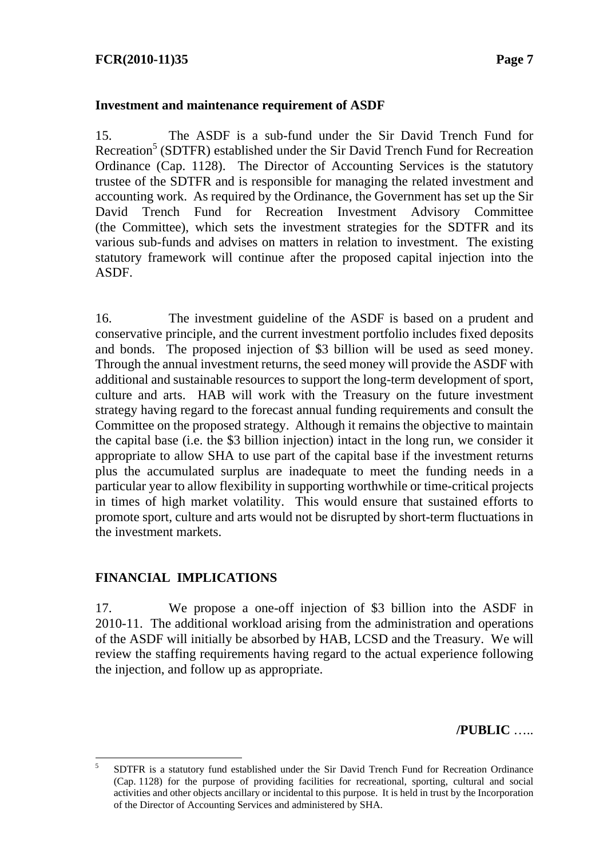#### **Investment and maintenance requirement of ASDF**

15. The ASDF is a sub-fund under the Sir David Trench Fund for Recreation<sup>5</sup> (SDTFR) established under the Sir David Trench Fund for Recreation Ordinance (Cap. 1128). The Director of Accounting Services is the statutory trustee of the SDTFR and is responsible for managing the related investment and accounting work. As required by the Ordinance, the Government has set up the Sir David Trench Fund for Recreation Investment Advisory Committee (the Committee), which sets the investment strategies for the SDTFR and its various sub-funds and advises on matters in relation to investment. The existing statutory framework will continue after the proposed capital injection into the ASDF.

16. The investment guideline of the ASDF is based on a prudent and conservative principle, and the current investment portfolio includes fixed deposits and bonds. The proposed injection of \$3 billion will be used as seed money. Through the annual investment returns, the seed money will provide the ASDF with additional and sustainable resources to support the long-term development of sport, culture and arts. HAB will work with the Treasury on the future investment strategy having regard to the forecast annual funding requirements and consult the Committee on the proposed strategy. Although it remains the objective to maintain the capital base (i.e. the \$3 billion injection) intact in the long run, we consider it appropriate to allow SHA to use part of the capital base if the investment returns plus the accumulated surplus are inadequate to meet the funding needs in a particular year to allow flexibility in supporting worthwhile or time-critical projects in times of high market volatility. This would ensure that sustained efforts to promote sport, culture and arts would not be disrupted by short-term fluctuations in the investment markets.

# **FINANCIAL IMPLICATIONS**

17. We propose a one-off injection of \$3 billion into the ASDF in 2010-11. The additional workload arising from the administration and operations of the ASDF will initially be absorbed by HAB, LCSD and the Treasury. We will review the staffing requirements having regard to the actual experience following the injection, and follow up as appropriate.

**/PUBLIC** …..

 $\frac{1}{5}$  SDTFR is a statutory fund established under the Sir David Trench Fund for Recreation Ordinance (Cap. 1128) for the purpose of providing facilities for recreational, sporting, cultural and social activities and other objects ancillary or incidental to this purpose. It is held in trust by the Incorporation of the Director of Accounting Services and administered by SHA.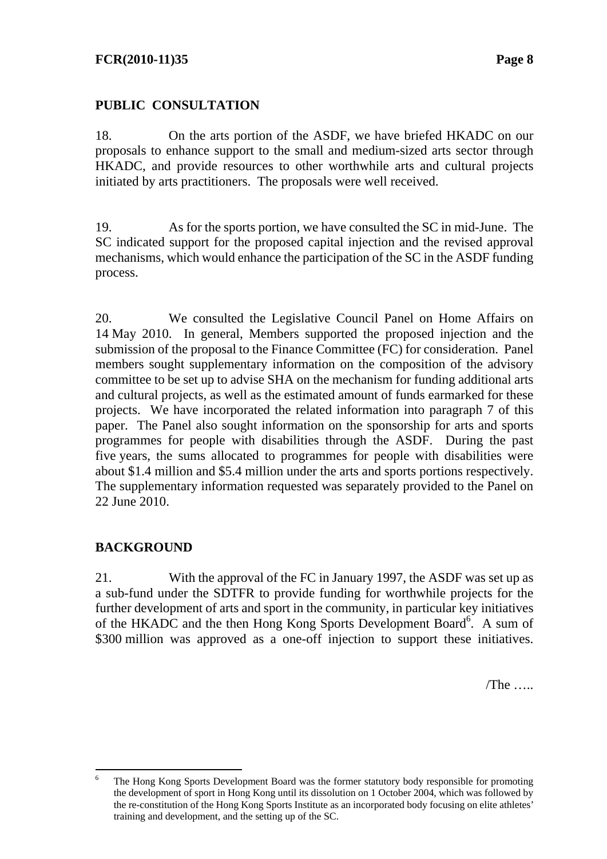# **PUBLIC CONSULTATION**

18. On the arts portion of the ASDF, we have briefed HKADC on our proposals to enhance support to the small and medium-sized arts sector through HKADC, and provide resources to other worthwhile arts and cultural projects initiated by arts practitioners. The proposals were well received.

19. As for the sports portion, we have consulted the SC in mid-June. The SC indicated support for the proposed capital injection and the revised approval mechanisms, which would enhance the participation of the SC in the ASDF funding process.

20. We consulted the Legislative Council Panel on Home Affairs on 14 May 2010. In general, Members supported the proposed injection and the submission of the proposal to the Finance Committee (FC) for consideration. Panel members sought supplementary information on the composition of the advisory committee to be set up to advise SHA on the mechanism for funding additional arts and cultural projects, as well as the estimated amount of funds earmarked for these projects. We have incorporated the related information into paragraph 7 of this paper. The Panel also sought information on the sponsorship for arts and sports programmes for people with disabilities through the ASDF. During the past five years, the sums allocated to programmes for people with disabilities were about \$1.4 million and \$5.4 million under the arts and sports portions respectively. The supplementary information requested was separately provided to the Panel on 22 June 2010.

# **BACKGROUND**

 $\overline{a}$ 

21. With the approval of the FC in January 1997, the ASDF was set up as a sub-fund under the SDTFR to provide funding for worthwhile projects for the further development of arts and sport in the community, in particular key initiatives of the HKADC and the then Hong Kong Sports Development Board<sup>6</sup>. A sum of \$300 million was approved as a one-off injection to support these initiatives.

 $/$ The  $\ldots$ .

<sup>6</sup> The Hong Kong Sports Development Board was the former statutory body responsible for promoting the development of sport in Hong Kong until its dissolution on 1 October 2004, which was followed by the re-constitution of the Hong Kong Sports Institute as an incorporated body focusing on elite athletes' training and development, and the setting up of the SC.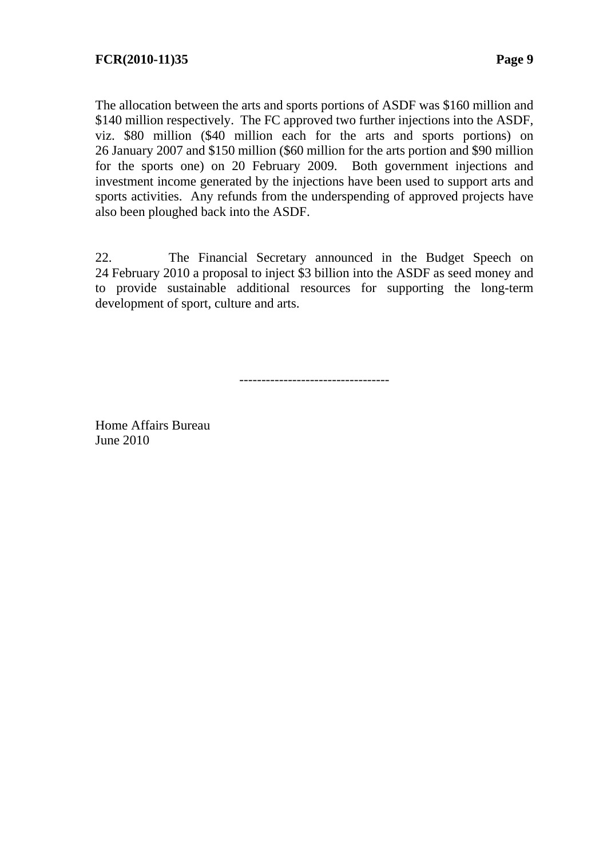The allocation between the arts and sports portions of ASDF was \$160 million and \$140 million respectively. The FC approved two further injections into the ASDF, viz. \$80 million (\$40 million each for the arts and sports portions) on 26 January 2007 and \$150 million (\$60 million for the arts portion and \$90 million for the sports one) on 20 February 2009. Both government injections and investment income generated by the injections have been used to support arts and sports activities. Any refunds from the underspending of approved projects have also been ploughed back into the ASDF.

22. The Financial Secretary announced in the Budget Speech on 24 February 2010 a proposal to inject \$3 billion into the ASDF as seed money and to provide sustainable additional resources for supporting the long-term development of sport, culture and arts.

----------------------------------

Home Affairs Bureau June 2010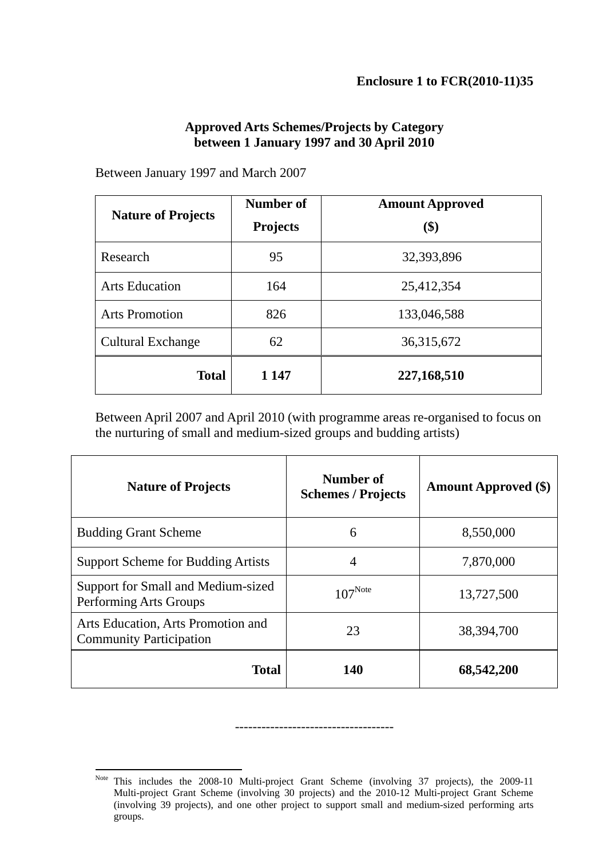#### **Approved Arts Schemes/Projects by Category between 1 January 1997 and 30 April 2010**

Between January 1997 and March 2007

| <b>Nature of Projects</b> | Number of<br><b>Projects</b> | <b>Amount Approved</b><br>\$) |
|---------------------------|------------------------------|-------------------------------|
| Research                  | 95                           | 32,393,896                    |
| <b>Arts Education</b>     | 164                          | 25,412,354                    |
| <b>Arts Promotion</b>     | 826                          | 133,046,588                   |
| <b>Cultural Exchange</b>  | 62                           | 36,315,672                    |
| <b>Total</b>              | 1 1 4 7                      | 227,168,510                   |

Between April 2007 and April 2010 (with programme areas re-organised to focus on the nurturing of small and medium-sized groups and budding artists)

| <b>Nature of Projects</b>                                            | Number of<br><b>Schemes / Projects</b> | <b>Amount Approved (\$)</b> |
|----------------------------------------------------------------------|----------------------------------------|-----------------------------|
| <b>Budding Grant Scheme</b>                                          | 6                                      | 8,550,000                   |
| <b>Support Scheme for Budding Artists</b>                            | $\overline{4}$                         | 7,870,000                   |
| Support for Small and Medium-sized<br>Performing Arts Groups         | $107^{\text{Note}}$                    | 13,727,500                  |
| Arts Education, Arts Promotion and<br><b>Community Participation</b> | 23                                     | 38,394,700                  |
| <b>Total</b>                                                         | 140                                    | 68,542,200                  |

------------------------------------

 $\overline{a}$ Note This includes the 2008-10 Multi-project Grant Scheme (involving 37 projects), the 2009-11 Multi-project Grant Scheme (involving 30 projects) and the 2010-12 Multi-project Grant Scheme (involving 39 projects), and one other project to support small and medium-sized performing arts groups.